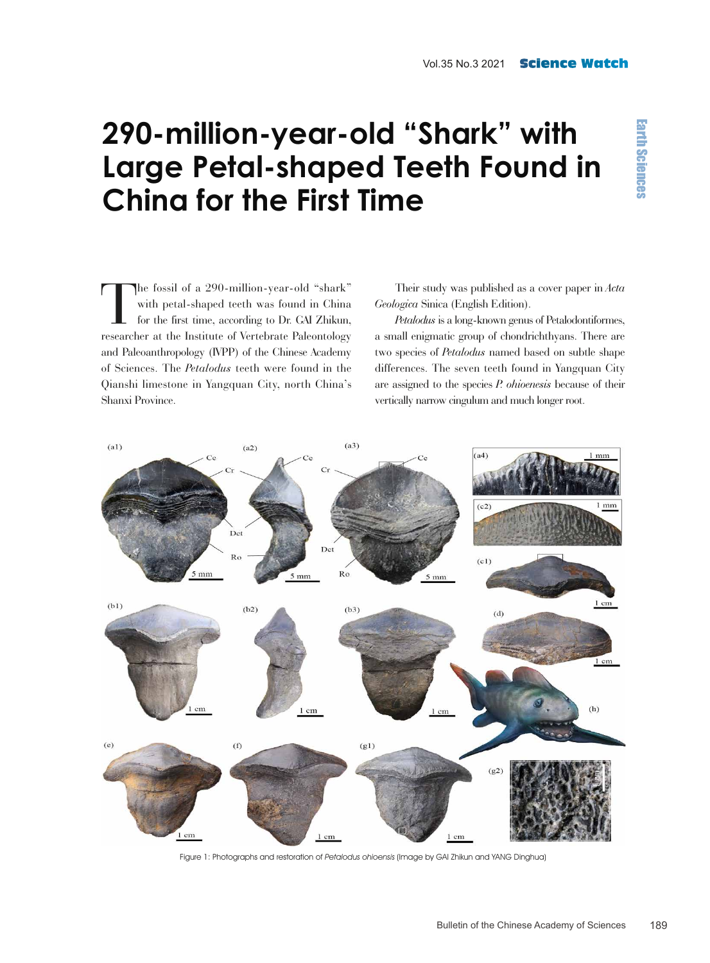## **290-million-year-old "Shark" with Large Petal-shaped Teeth Found in China for the First Time**

The fossil of a 290-million-year-old "shark" with petal-shaped teeth was found in China for the first time, according to Dr. GAI Zhikun, researcher at the Institute of Vertebrate Paleontology and Paleoanthropology (IVPP) of the Chinese Academy of Sciences. The *Petalodus* teeth were found in the Qianshi limestone in Yangquan City, north China's Shanxi Province.

Their study was published as a cover paper in *Acta Geologica* Sinica (English Edition).

*Petalodus* is a long-known genus of Petalodontiformes, a small enigmatic group of chondrichthyans. There are two species of *Petalodus* named based on subtle shape differences. The seven teeth found in Yangquan City are assigned to the species *P. ohioenesis* because of their vertically narrow cingulum and much longer root.



Figure 1: Photographs and restoration of Petalodus ohioensis (Image by GAI Zhikun and YANG Dinghua)